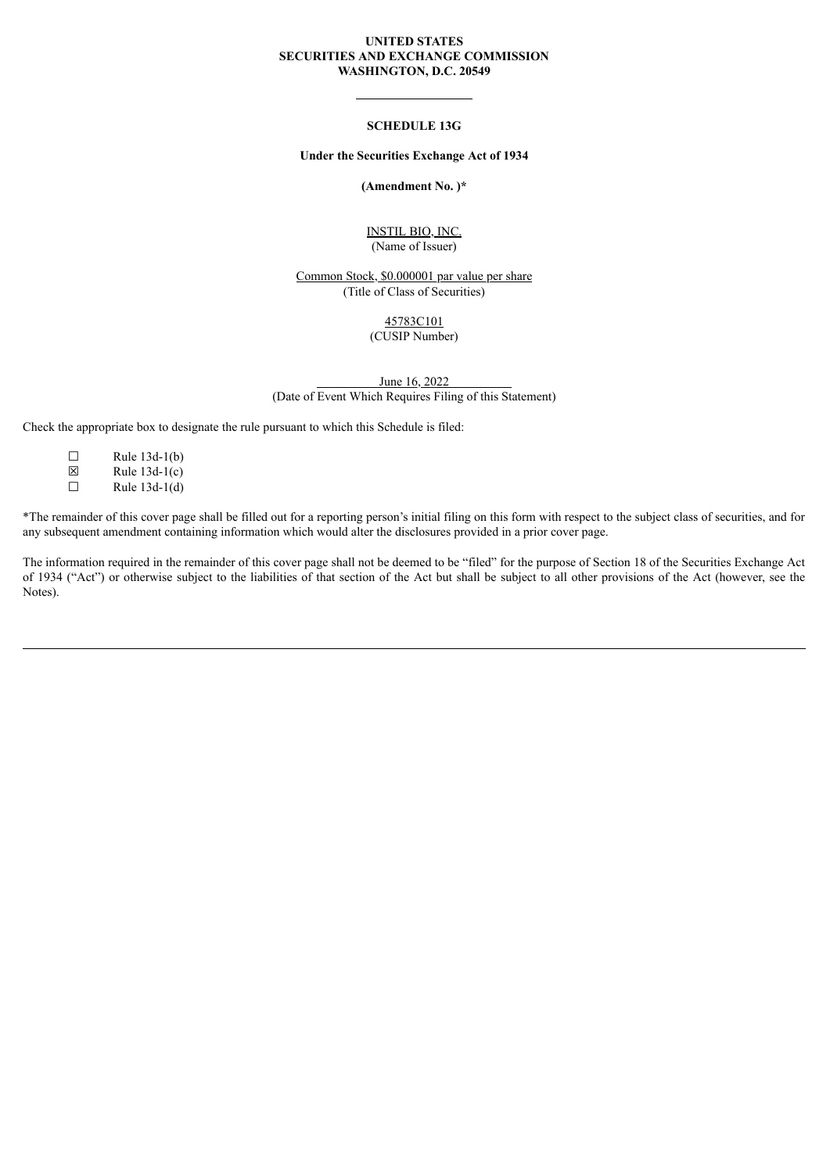#### **UNITED STATES SECURITIES AND EXCHANGE COMMISSION WASHINGTON, D.C. 20549**

### **SCHEDULE 13G**

#### **Under the Securities Exchange Act of 1934**

#### **(Amendment No. )\***

### INSTIL BIO, INC. (Name of Issuer)

Common Stock, \$0.000001 par value per share (Title of Class of Securities)

#### 45783C101 (CUSIP Number)

June 16, 2022 (Date of Event Which Requires Filing of this Statement)

Check the appropriate box to designate the rule pursuant to which this Schedule is filed:

- $\Box$  Rule 13d-1(b)
- $\boxtimes$  Rule 13d-1(c)<br>
Rule 13d-1(d)
- Rule  $13d-1(d)$

\*The remainder of this cover page shall be filled out for a reporting person's initial filing on this form with respect to the subject class of securities, and for any subsequent amendment containing information which would alter the disclosures provided in a prior cover page.

The information required in the remainder of this cover page shall not be deemed to be "filed" for the purpose of Section 18 of the Securities Exchange Act of 1934 ("Act") or otherwise subject to the liabilities of that section of the Act but shall be subject to all other provisions of the Act (however, see the Notes).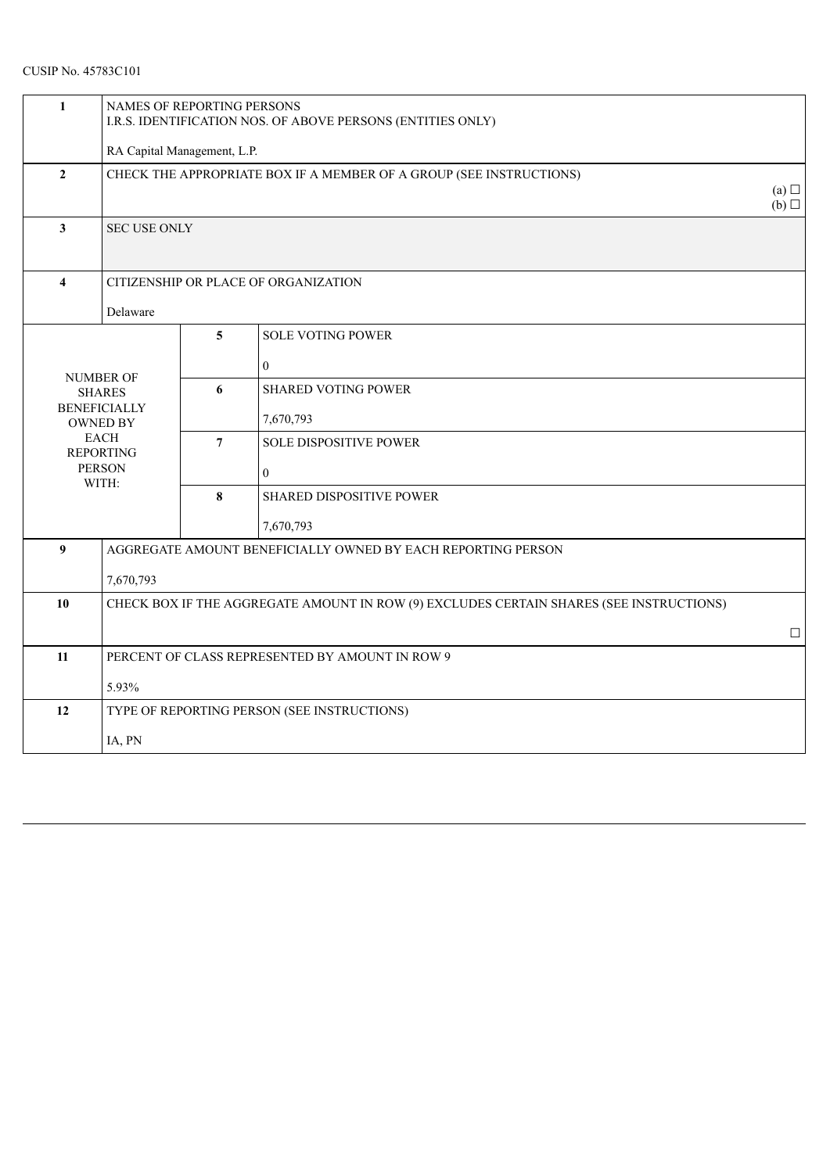| 1                | NAMES OF REPORTING PERSONS<br>I.R.S. IDENTIFICATION NOS. OF ABOVE PERSONS (ENTITIES ONLY) |                 |                                 |            |  |  |
|------------------|-------------------------------------------------------------------------------------------|-----------------|---------------------------------|------------|--|--|
|                  | RA Capital Management, L.P.                                                               |                 |                                 |            |  |  |
| $\mathbf{2}$     | CHECK THE APPROPRIATE BOX IF A MEMBER OF A GROUP (SEE INSTRUCTIONS)                       |                 |                                 |            |  |  |
|                  |                                                                                           |                 |                                 | (a)<br>(b) |  |  |
| $\mathbf{3}$     | <b>SEC USE ONLY</b>                                                                       |                 |                                 |            |  |  |
|                  |                                                                                           |                 |                                 |            |  |  |
| $\overline{4}$   | CITIZENSHIP OR PLACE OF ORGANIZATION                                                      |                 |                                 |            |  |  |
|                  | Delaware                                                                                  |                 |                                 |            |  |  |
|                  |                                                                                           | 5               | <b>SOLE VOTING POWER</b>        |            |  |  |
| <b>NUMBER OF</b> |                                                                                           |                 | $\mathbf{0}$                    |            |  |  |
|                  | <b>SHARES</b><br><b>BENEFICIALLY</b>                                                      | 6               | <b>SHARED VOTING POWER</b>      |            |  |  |
|                  | <b>OWNED BY</b>                                                                           |                 | 7,670,793                       |            |  |  |
|                  | <b>EACH</b><br><b>REPORTING</b>                                                           | $7\phantom{.0}$ | <b>SOLE DISPOSITIVE POWER</b>   |            |  |  |
|                  | <b>PERSON</b><br>WITH:                                                                    |                 | $\mathbf{0}$                    |            |  |  |
|                  |                                                                                           | 8               | <b>SHARED DISPOSITIVE POWER</b> |            |  |  |
|                  |                                                                                           |                 | 7,670,793                       |            |  |  |
| $\boldsymbol{9}$ | AGGREGATE AMOUNT BENEFICIALLY OWNED BY EACH REPORTING PERSON                              |                 |                                 |            |  |  |
|                  | 7,670,793                                                                                 |                 |                                 |            |  |  |
| 10               | CHECK BOX IF THE AGGREGATE AMOUNT IN ROW (9) EXCLUDES CERTAIN SHARES (SEE INSTRUCTIONS)   |                 |                                 |            |  |  |
|                  |                                                                                           |                 |                                 | $\Box$     |  |  |
| 11               | PERCENT OF CLASS REPRESENTED BY AMOUNT IN ROW 9                                           |                 |                                 |            |  |  |
|                  | 5.93%                                                                                     |                 |                                 |            |  |  |
| 12               | TYPE OF REPORTING PERSON (SEE INSTRUCTIONS)                                               |                 |                                 |            |  |  |
|                  | IA, PN                                                                                    |                 |                                 |            |  |  |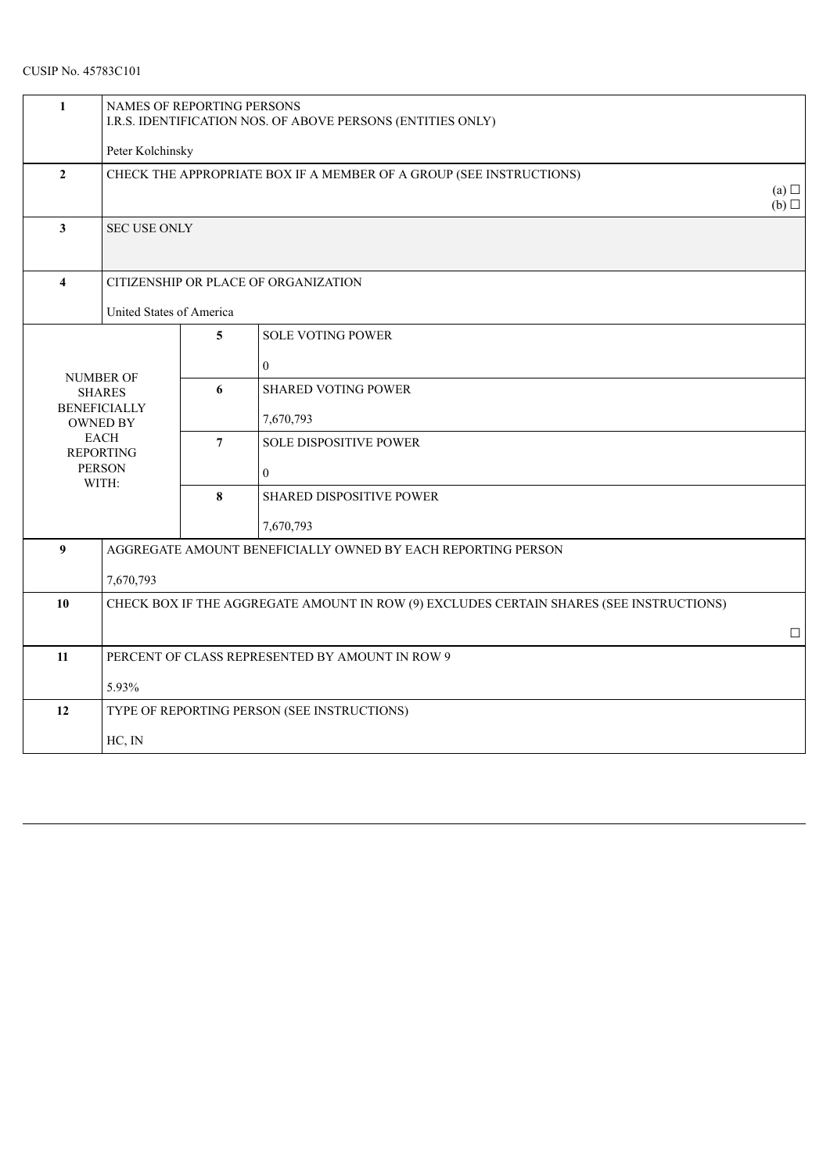| 1                       | NAMES OF REPORTING PERSONS<br>I.R.S. IDENTIFICATION NOS. OF ABOVE PERSONS (ENTITIES ONLY) |                                      |                                                 |        |  |  |  |
|-------------------------|-------------------------------------------------------------------------------------------|--------------------------------------|-------------------------------------------------|--------|--|--|--|
|                         | Peter Kolchinsky                                                                          |                                      |                                                 |        |  |  |  |
| $\overline{2}$          | CHECK THE APPROPRIATE BOX IF A MEMBER OF A GROUP (SEE INSTRUCTIONS)                       |                                      |                                                 |        |  |  |  |
| $\mathbf{3}$            | <b>SEC USE ONLY</b>                                                                       |                                      |                                                 |        |  |  |  |
| $\overline{\mathbf{4}}$ |                                                                                           | CITIZENSHIP OR PLACE OF ORGANIZATION |                                                 |        |  |  |  |
|                         | United States of America                                                                  |                                      |                                                 |        |  |  |  |
|                         |                                                                                           | 5                                    | <b>SOLE VOTING POWER</b>                        |        |  |  |  |
|                         |                                                                                           |                                      | $\mathbf{0}$                                    |        |  |  |  |
|                         | <b>NUMBER OF</b><br><b>SHARES</b>                                                         | 6                                    | <b>SHARED VOTING POWER</b>                      |        |  |  |  |
|                         | <b>BENEFICIALLY</b><br><b>OWNED BY</b>                                                    |                                      | 7,670,793                                       |        |  |  |  |
|                         | <b>EACH</b><br><b>REPORTING</b>                                                           | $\overline{7}$                       | <b>SOLE DISPOSITIVE POWER</b>                   |        |  |  |  |
| <b>PERSON</b>           | WITH:                                                                                     |                                      | $\mathbf{0}$                                    |        |  |  |  |
|                         |                                                                                           | $\bf{8}$                             | <b>SHARED DISPOSITIVE POWER</b>                 |        |  |  |  |
|                         |                                                                                           |                                      | 7,670,793                                       |        |  |  |  |
| $\boldsymbol{9}$        | AGGREGATE AMOUNT BENEFICIALLY OWNED BY EACH REPORTING PERSON                              |                                      |                                                 |        |  |  |  |
|                         | 7,670,793                                                                                 |                                      |                                                 |        |  |  |  |
| 10                      | CHECK BOX IF THE AGGREGATE AMOUNT IN ROW (9) EXCLUDES CERTAIN SHARES (SEE INSTRUCTIONS)   |                                      |                                                 |        |  |  |  |
|                         |                                                                                           |                                      |                                                 | $\Box$ |  |  |  |
| 11                      |                                                                                           |                                      | PERCENT OF CLASS REPRESENTED BY AMOUNT IN ROW 9 |        |  |  |  |
|                         | 5.93%                                                                                     |                                      |                                                 |        |  |  |  |
| 12                      | TYPE OF REPORTING PERSON (SEE INSTRUCTIONS)                                               |                                      |                                                 |        |  |  |  |
|                         | HC, IN                                                                                    |                                      |                                                 |        |  |  |  |
|                         |                                                                                           |                                      |                                                 |        |  |  |  |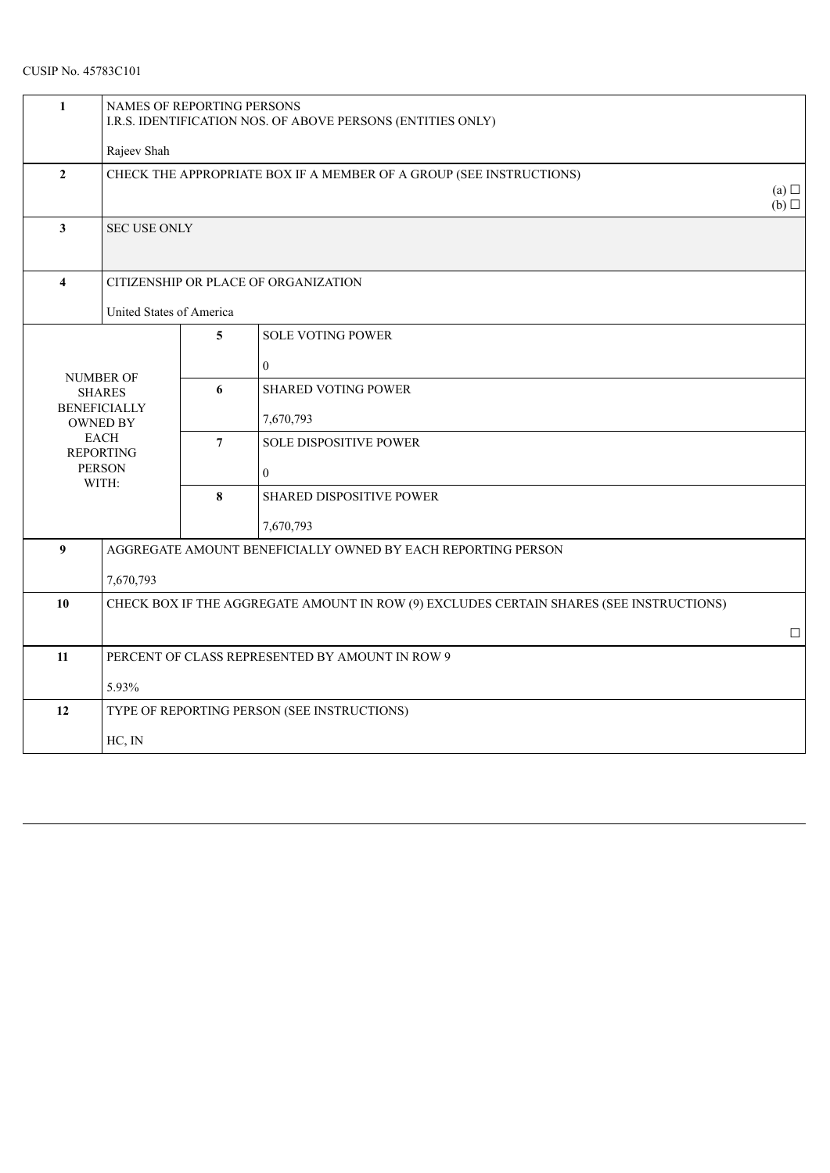| $\mathbf{1}$                                           | NAMES OF REPORTING PERSONS<br>I.R.S. IDENTIFICATION NOS. OF ABOVE PERSONS (ENTITIES ONLY) |                |                                                 |        |  |  |
|--------------------------------------------------------|-------------------------------------------------------------------------------------------|----------------|-------------------------------------------------|--------|--|--|
|                                                        | Rajeev Shah                                                                               |                |                                                 |        |  |  |
| $\overline{2}$                                         | CHECK THE APPROPRIATE BOX IF A MEMBER OF A GROUP (SEE INSTRUCTIONS)                       |                |                                                 |        |  |  |
| $\mathbf{3}$                                           | <b>SEC USE ONLY</b>                                                                       |                |                                                 |        |  |  |
| $\overline{4}$<br>CITIZENSHIP OR PLACE OF ORGANIZATION |                                                                                           |                |                                                 |        |  |  |
|                                                        |                                                                                           |                |                                                 |        |  |  |
|                                                        |                                                                                           | 5              | <b>SOLE VOTING POWER</b>                        |        |  |  |
|                                                        |                                                                                           |                | $\mathbf{0}$                                    |        |  |  |
| <b>NUMBER OF</b><br><b>SHARES</b>                      |                                                                                           | 6              | <b>SHARED VOTING POWER</b>                      |        |  |  |
|                                                        | <b>BENEFICIALLY</b><br><b>OWNED BY</b>                                                    |                | 7,670,793                                       |        |  |  |
|                                                        | <b>EACH</b><br><b>REPORTING</b>                                                           | $\overline{7}$ | <b>SOLE DISPOSITIVE POWER</b>                   |        |  |  |
| <b>PERSON</b>                                          |                                                                                           |                | $\overline{0}$                                  |        |  |  |
| WITH:                                                  |                                                                                           | 8              | <b>SHARED DISPOSITIVE POWER</b>                 |        |  |  |
|                                                        |                                                                                           |                | 7,670,793                                       |        |  |  |
| $\boldsymbol{9}$                                       | AGGREGATE AMOUNT BENEFICIALLY OWNED BY EACH REPORTING PERSON                              |                |                                                 |        |  |  |
|                                                        | 7,670,793                                                                                 |                |                                                 |        |  |  |
| 10                                                     | CHECK BOX IF THE AGGREGATE AMOUNT IN ROW (9) EXCLUDES CERTAIN SHARES (SEE INSTRUCTIONS)   |                |                                                 |        |  |  |
|                                                        |                                                                                           |                |                                                 | $\Box$ |  |  |
| 11                                                     |                                                                                           |                | PERCENT OF CLASS REPRESENTED BY AMOUNT IN ROW 9 |        |  |  |
|                                                        | 5.93%                                                                                     |                |                                                 |        |  |  |
| 12                                                     | TYPE OF REPORTING PERSON (SEE INSTRUCTIONS)                                               |                |                                                 |        |  |  |
|                                                        |                                                                                           |                |                                                 |        |  |  |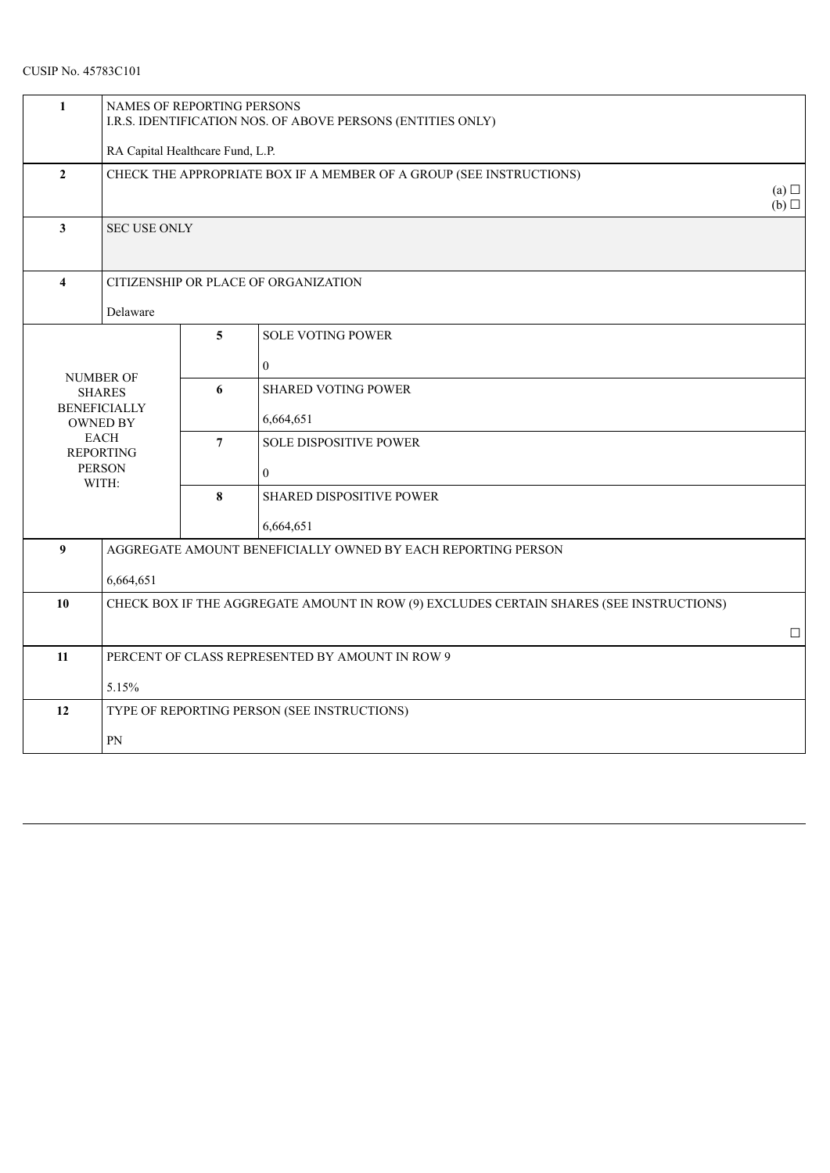| NAMES OF REPORTING PERSONS<br>I.R.S. IDENTIFICATION NOS. OF ABOVE PERSONS (ENTITIES ONLY) |                                                                                                                                          |                                 |                                                                                         |  |  |
|-------------------------------------------------------------------------------------------|------------------------------------------------------------------------------------------------------------------------------------------|---------------------------------|-----------------------------------------------------------------------------------------|--|--|
| RA Capital Healthcare Fund, L.P.                                                          |                                                                                                                                          |                                 |                                                                                         |  |  |
| CHECK THE APPROPRIATE BOX IF A MEMBER OF A GROUP (SEE INSTRUCTIONS)                       |                                                                                                                                          |                                 |                                                                                         |  |  |
| <b>SEC USE ONLY</b>                                                                       |                                                                                                                                          |                                 |                                                                                         |  |  |
|                                                                                           |                                                                                                                                          |                                 |                                                                                         |  |  |
| Delaware                                                                                  |                                                                                                                                          |                                 |                                                                                         |  |  |
|                                                                                           | 5                                                                                                                                        | <b>SOLE VOTING POWER</b>        |                                                                                         |  |  |
|                                                                                           |                                                                                                                                          | $\boldsymbol{0}$                |                                                                                         |  |  |
|                                                                                           | 6                                                                                                                                        | <b>SHARED VOTING POWER</b>      |                                                                                         |  |  |
|                                                                                           |                                                                                                                                          | 6,664,651                       |                                                                                         |  |  |
|                                                                                           | $\overline{7}$                                                                                                                           | <b>SOLE DISPOSITIVE POWER</b>   |                                                                                         |  |  |
|                                                                                           |                                                                                                                                          | $\mathbf{0}$                    |                                                                                         |  |  |
|                                                                                           | 8                                                                                                                                        | <b>SHARED DISPOSITIVE POWER</b> |                                                                                         |  |  |
|                                                                                           |                                                                                                                                          | 6,664,651                       |                                                                                         |  |  |
| AGGREGATE AMOUNT BENEFICIALLY OWNED BY EACH REPORTING PERSON                              |                                                                                                                                          |                                 |                                                                                         |  |  |
| 6,664,651                                                                                 |                                                                                                                                          |                                 |                                                                                         |  |  |
| CHECK BOX IF THE AGGREGATE AMOUNT IN ROW (9) EXCLUDES CERTAIN SHARES (SEE INSTRUCTIONS)   |                                                                                                                                          |                                 |                                                                                         |  |  |
|                                                                                           |                                                                                                                                          |                                 | $\Box$                                                                                  |  |  |
|                                                                                           |                                                                                                                                          |                                 |                                                                                         |  |  |
| 5.15%                                                                                     |                                                                                                                                          |                                 |                                                                                         |  |  |
| TYPE OF REPORTING PERSON (SEE INSTRUCTIONS)                                               |                                                                                                                                          |                                 |                                                                                         |  |  |
| PN                                                                                        |                                                                                                                                          |                                 |                                                                                         |  |  |
|                                                                                           | <b>NUMBER OF</b><br><b>SHARES</b><br><b>BENEFICIALLY</b><br><b>OWNED BY</b><br><b>EACH</b><br><b>REPORTING</b><br><b>PERSON</b><br>WITH: |                                 | CITIZENSHIP OR PLACE OF ORGANIZATION<br>PERCENT OF CLASS REPRESENTED BY AMOUNT IN ROW 9 |  |  |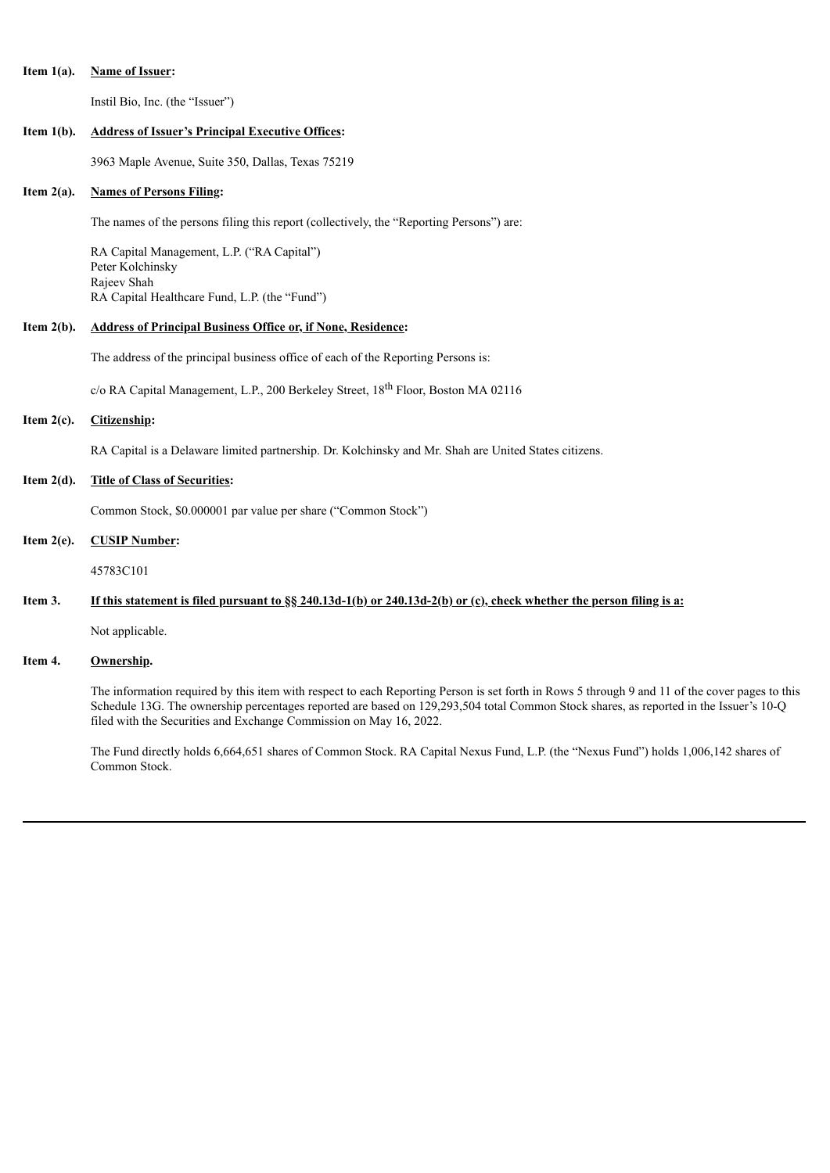### **Item 1(a). Name of Issuer:**

Instil Bio, Inc. (the "Issuer")

### **Item 1(b). Address of Issuer's Principal Executive Offices:**

3963 Maple Avenue, Suite 350, Dallas, Texas 75219

### **Item 2(a). Names of Persons Filing:**

The names of the persons filing this report (collectively, the "Reporting Persons") are:

RA Capital Management, L.P. ("RA Capital") Peter Kolchinsky Rajeev Shah RA Capital Healthcare Fund, L.P. (the "Fund")

### **Item 2(b). Address of Principal Business Office or, if None, Residence:**

The address of the principal business office of each of the Reporting Persons is:

c/o RA Capital Management, L.P., 200 Berkeley Street, 18<sup>th</sup> Floor, Boston MA 02116

# **Item 2(c). Citizenship:**

RA Capital is a Delaware limited partnership. Dr. Kolchinsky and Mr. Shah are United States citizens.

#### **Item 2(d). Title of Class of Securities:**

Common Stock, \$0.000001 par value per share ("Common Stock")

## **Item 2(e). CUSIP Number:**

45783C101

# Item 3. If this statement is filed pursuant to  $\S_8$  240.13d-1(b) or 240.13d-2(b) or (c), check whether the person filing is a:

Not applicable.

## **Item 4. Ownership.**

The information required by this item with respect to each Reporting Person is set forth in Rows 5 through 9 and 11 of the cover pages to this Schedule 13G. The ownership percentages reported are based on 129,293,504 total Common Stock shares, as reported in the Issuer's 10-Q filed with the Securities and Exchange Commission on May 16, 2022.

The Fund directly holds 6,664,651 shares of Common Stock. RA Capital Nexus Fund, L.P. (the "Nexus Fund") holds 1,006,142 shares of Common Stock.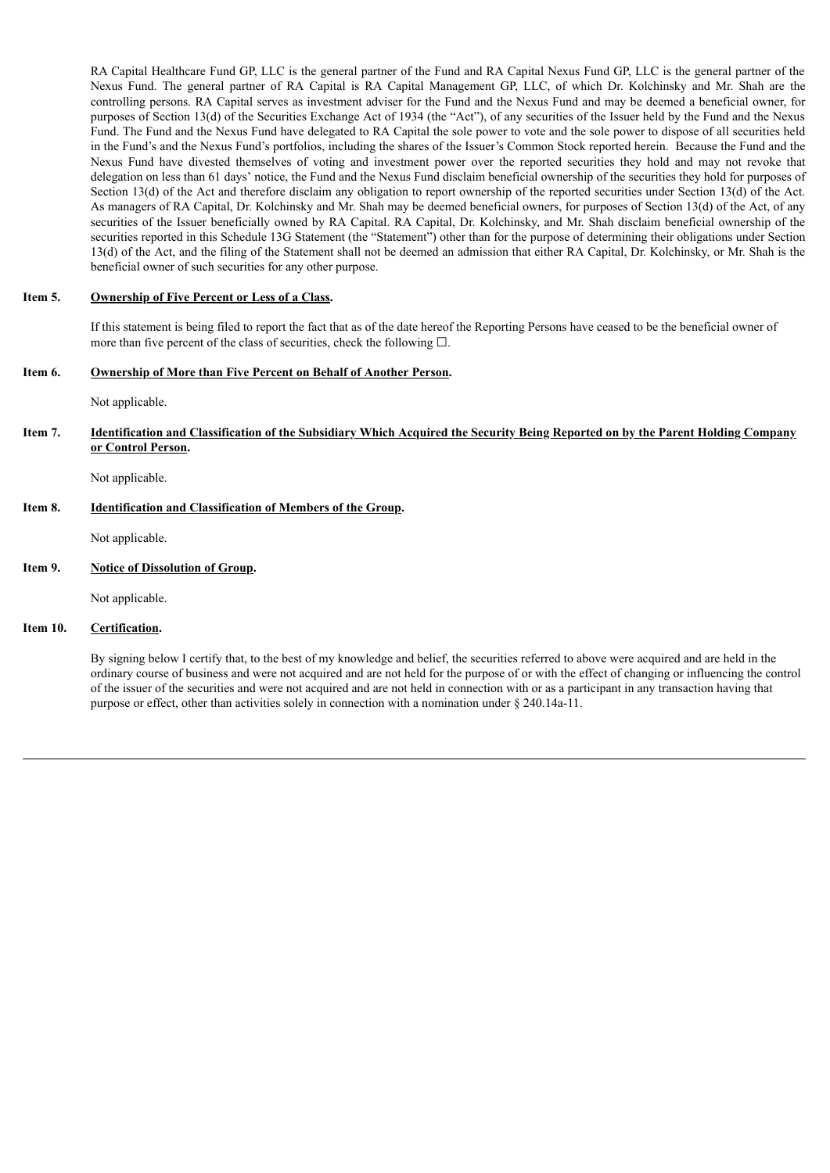RA Capital Healthcare Fund GP, LLC is the general partner of the Fund and RA Capital Nexus Fund GP, LLC is the general partner of the Nexus Fund. The general partner of RA Capital is RA Capital Management GP, LLC, of which Dr. Kolchinsky and Mr. Shah are the controlling persons. RA Capital serves as investment adviser for the Fund and the Nexus Fund and may be deemed a beneficial owner, for purposes of Section 13(d) of the Securities Exchange Act of 1934 (the "Act"), of any securities of the Issuer held by the Fund and the Nexus Fund. The Fund and the Nexus Fund have delegated to RA Capital the sole power to vote and the sole power to dispose of all securities held in the Fund's and the Nexus Fund's portfolios, including the shares of the Issuer's Common Stock reported herein. Because the Fund and the Nexus Fund have divested themselves of voting and investment power over the reported securities they hold and may not revoke that delegation on less than 61 days' notice, the Fund and the Nexus Fund disclaim beneficial ownership of the securities they hold for purposes of Section 13(d) of the Act and therefore disclaim any obligation to report ownership of the reported securities under Section 13(d) of the Act. As managers of RA Capital, Dr. Kolchinsky and Mr. Shah may be deemed beneficial owners, for purposes of Section 13(d) of the Act, of any securities of the Issuer beneficially owned by RA Capital. RA Capital, Dr. Kolchinsky, and Mr. Shah disclaim beneficial ownership of the securities reported in this Schedule 13G Statement (the "Statement") other than for the purpose of determining their obligations under Section 13(d) of the Act, and the filing of the Statement shall not be deemed an admission that either RA Capital, Dr. Kolchinsky, or Mr. Shah is the beneficial owner of such securities for any other purpose.

## **Item 5. Ownership of Five Percent or Less of a Class.**

If this statement is being filed to report the fact that as of the date hereof the Reporting Persons have ceased to be the beneficial owner of more than five percent of the class of securities, check the following  $\Box$ .

## **Item 6. Ownership of More than Five Percent on Behalf of Another Person.**

Not applicable.

Item 7. Identification and Classification of the Subsidiary Which Acquired the Security Being Reported on by the Parent Holding Company **or Control Person.**

Not applicable.

### **Item 8. Identification and Classification of Members of the Group.**

Not applicable.

## **Item 9. Notice of Dissolution of Group.**

Not applicable.

## **Item 10. Certification.**

By signing below I certify that, to the best of my knowledge and belief, the securities referred to above were acquired and are held in the ordinary course of business and were not acquired and are not held for the purpose of or with the effect of changing or influencing the control of the issuer of the securities and were not acquired and are not held in connection with or as a participant in any transaction having that purpose or effect, other than activities solely in connection with a nomination under § 240.14a-11.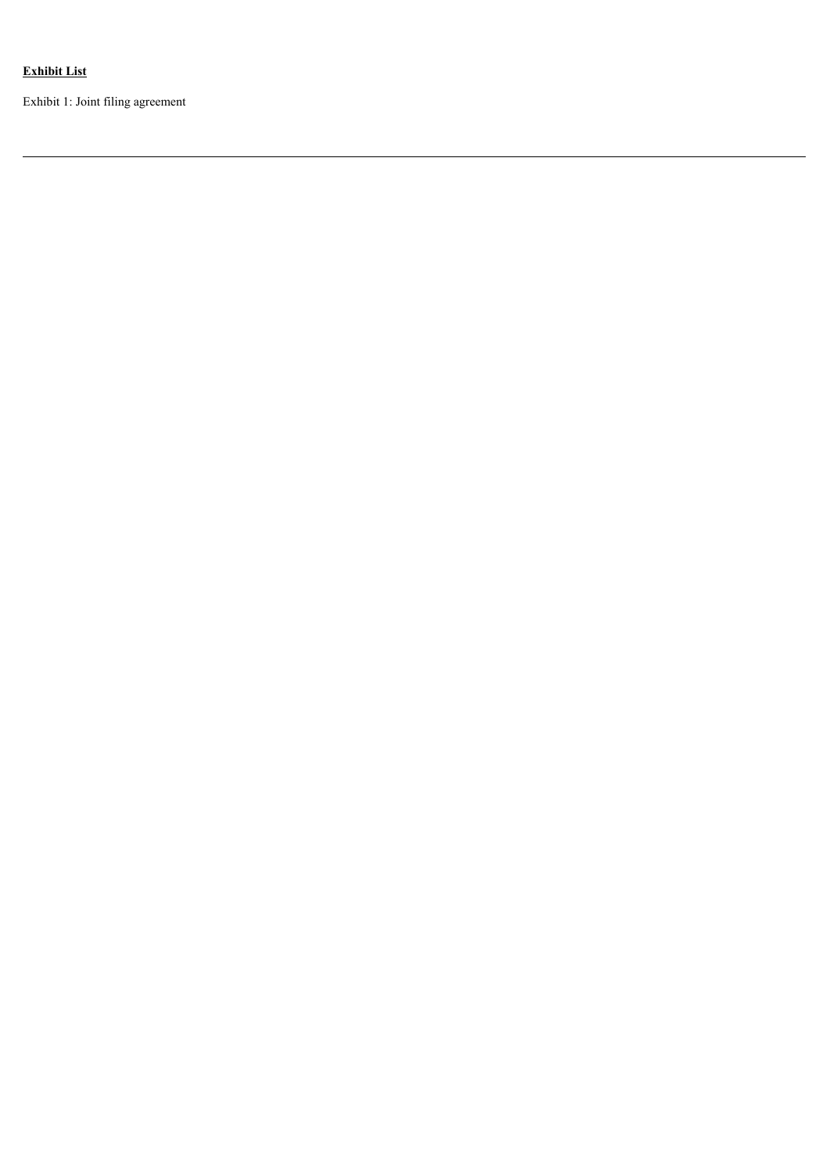# **Exhibit List**

Exhibit 1: Joint filing agreement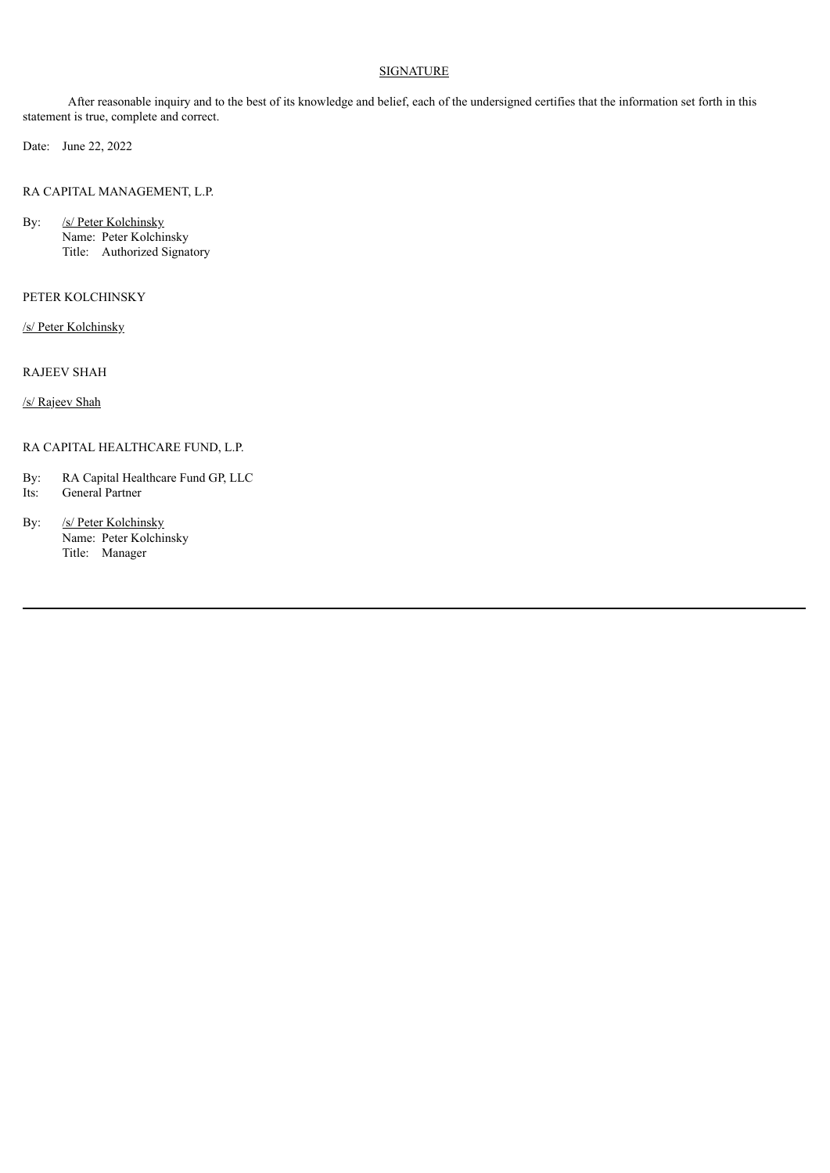## **SIGNATURE**

After reasonable inquiry and to the best of its knowledge and belief, each of the undersigned certifies that the information set forth in this statement is true, complete and correct.

Date: June 22, 2022

RA CAPITAL MANAGEMENT, L.P.

By: /s/ Peter Kolchinsky Name: Peter Kolchinsky Title: Authorized Signatory

## PETER KOLCHINSKY

/s/ Peter Kolchinsky

RAJEEV SHAH

/s/ Rajeev Shah

## RA CAPITAL HEALTHCARE FUND, L.P.

- By: RA Capital Healthcare Fund GP, LLC
- Its: General Partner
- By: /s/ Peter Kolchinsky Name: Peter Kolchinsky Title: Manager